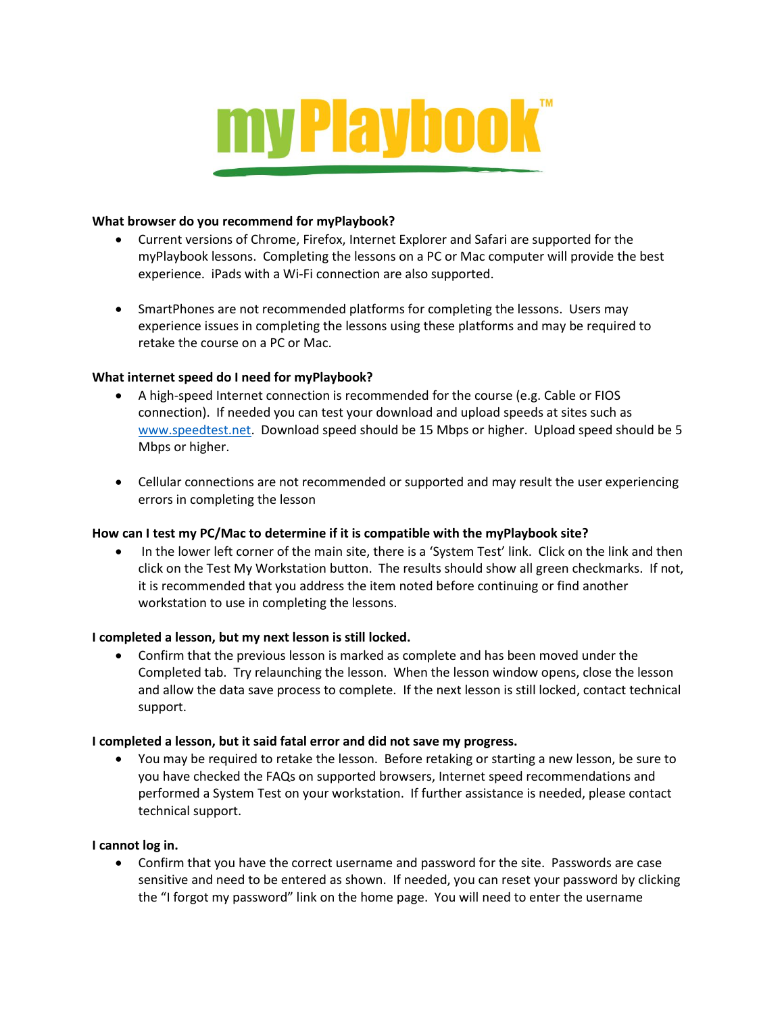

### **What browser do you recommend for myPlaybook?**

- Current versions of Chrome, Firefox, Internet Explorer and Safari are supported for the myPlaybook lessons. Completing the lessons on a PC or Mac computer will provide the best experience. iPads with a Wi-Fi connection are also supported.
- SmartPhones are not recommended platforms for completing the lessons. Users may experience issues in completing the lessons using these platforms and may be required to retake the course on a PC or Mac.

### **What internet speed do I need for myPlaybook?**

- A high-speed Internet connection is recommended for the course (e.g. Cable or FIOS connection). If needed you can test your download and upload speeds at sites such as [www.speedtest.net.](http://www.speedtest.net/) Download speed should be 15 Mbps or higher. Upload speed should be 5 Mbps or higher.
- Cellular connections are not recommended or supported and may result the user experiencing errors in completing the lesson

## **How can I test my PC/Mac to determine if it is compatible with the myPlaybook site?**

 In the lower left corner of the main site, there is a 'System Test' link. Click on the link and then click on the Test My Workstation button. The results should show all green checkmarks. If not, it is recommended that you address the item noted before continuing or find another workstation to use in completing the lessons.

## **I completed a lesson, but my next lesson is still locked.**

 Confirm that the previous lesson is marked as complete and has been moved under the Completed tab. Try relaunching the lesson. When the lesson window opens, close the lesson and allow the data save process to complete. If the next lesson is still locked, contact technical support.

#### **I completed a lesson, but it said fatal error and did not save my progress.**

 You may be required to retake the lesson. Before retaking or starting a new lesson, be sure to you have checked the FAQs on supported browsers, Internet speed recommendations and performed a System Test on your workstation. If further assistance is needed, please contact technical support.

#### **I cannot log in.**

 Confirm that you have the correct username and password for the site. Passwords are case sensitive and need to be entered as shown. If needed, you can reset your password by clicking the "I forgot my password" link on the home page. You will need to enter the username